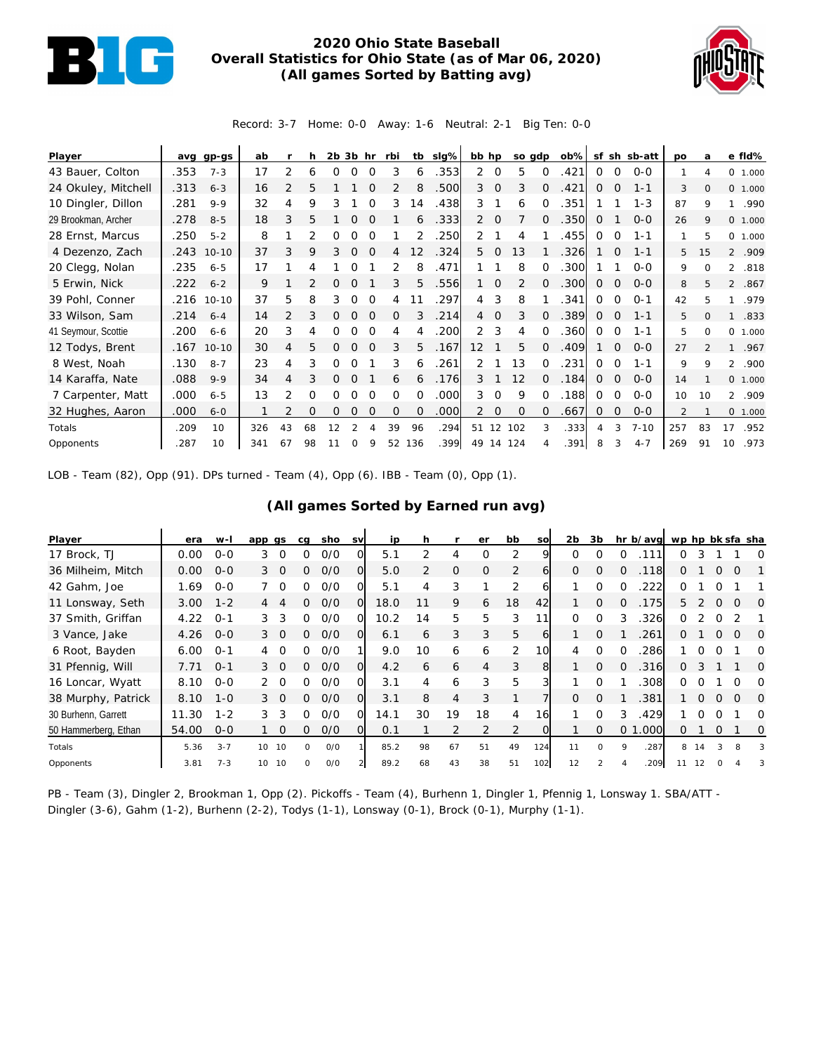

## **2020 Ohio State Baseball Overall Statistics for Ohio State (as of Mar 06, 2020) (All games Sorted by Batting avg)**



Record: 3-7 Home: 0-0 Away: 1-6 Neutral: 2-1 Big Ten: 0-0

| Player              | avq  | gp-gs     | ab  |    | h        | $2b$ $3b$ hr |          |          | rbi           |          | tb slg% | bb hp          |                   | so gdp         |          | $ob\%$ |          |             | sf sh sb-att | po  | a              | e fld%          |      |
|---------------------|------|-----------|-----|----|----------|--------------|----------|----------|---------------|----------|---------|----------------|-------------------|----------------|----------|--------|----------|-------------|--------------|-----|----------------|-----------------|------|
| 43 Bauer, Colton    | .353 | $7 - 3$   | 17  | 2  | 6        | 0            | 0        | $\Omega$ | 3             | 6        | .353    | $\overline{2}$ | 0                 | 5              | 0        | .421   | 0        | 0           | $O - O$      |     | 4              | 0 1.000         |      |
| 24 Okuley, Mitchell | .313 | $6 - 3$   | 16  | 2  | 5        |              |          | ∩        |               | 8        | .500    | 3              | $\mathbf 0$       | 3              | 0        | .421   | 0        | 0           | $1 - 1$      | 3   | $\circ$        | 0 1.000         |      |
| 10 Dingler, Dillon  | .281 | $9 - 9$   | 32  | 4  | 9        | 3            |          | ∩        | 3             | 14       | .438    | 3              |                   | 6              | ∩        | .351   |          |             | $1 - 3$      | 87  | 9              | 1               | .990 |
| 29 Brookman, Archer | .278 | $8 - 5$   | 18  | 3  | 5        |              |          |          |               | 6        | .333    | 2              | $\Omega$          |                | $\Omega$ | .350   | 0        |             | $0 - 0$      | 26  | 9              | 0 1.000         |      |
| 28 Ernst, Marcus    | .250 | $5 - 2$   | 8   |    | フ        | 0            | 0        | $\Omega$ |               |          | .250    | 2              |                   | 4              |          | .455   | $\Omega$ | $\Omega$    | $1 - 1$      |     | 5              | 0 1.000         |      |
| 4 Dezenzo, Zach     | .243 | $10 - 10$ | 37  | 3  | 9        | 3            | 0        | $\Omega$ | 4             | 2        | .324    | 5              | $\Omega$          | 13             |          | .326   |          | $\Omega$    | $1 - 1$      | 5   | 15             | 2 .909          |      |
| 20 Clegg, Nolan     | .235 | $6 - 5$   | 17  |    | 4        |              |          |          | 2             | 8        | .471    |                |                   | 8              | $\Omega$ | 300    |          |             | $0 - 0$      | 9   | $\Omega$       | $\overline{2}$  | .818 |
| 5 Erwin, Nick       | .222 | $6 - 2$   | 9   |    |          | 0            | $\Omega$ |          | 3             | 5        | .556    |                | $\Omega$          | $\overline{2}$ | $\Omega$ | 300    | $\Omega$ | $\Omega$    | $0 - 0$      | 8   | 5              | $\mathcal{P}$   | .867 |
| 39 Pohl, Conner     | .216 | $10 - 10$ | 37  | 5  | 8        | 3            | $\Omega$ | $\Omega$ | 4             | 11       | 297     | 4              | 3                 | 8              |          | 341    | 0        | $\Omega$    | $O - 1$      | 42  | 5              |                 | .979 |
| 33 Wilson, Sam      | .214 | $6 - 4$   | 14  | 2  | 3        | 0            | $\Omega$ | $\Omega$ | $\Omega$      | 3        | .214    | $\overline{4}$ | $\Omega$          | 3              | $\Omega$ | .389   | 0        | $\Omega$    | $1 - 1$      | 5   | $\Omega$       | $\mathbf{1}$    | .833 |
| 41 Seymour, Scottie | .200 | $6 - 6$   | 20  | 3  | 4        | 0            | $\Omega$ | $\Omega$ | 4             | 4        | .200    | 2              | 3                 | 4              | $\Omega$ | .360   | 0        | $\Omega$    | $1 - 1$      | 5   | 0              | 0 1.000         |      |
| 12 Todys, Brent     | .167 | $10 - 10$ | 30  | 4  | 5        | 0            | $\Omega$ | $\Omega$ | 3             | 5        | .167    | 12             |                   | 5              | $\Omega$ | .409   |          | 0           | $0 - 0$      | 27  | $\mathfrak{D}$ | $\mathbf{1}$    | .967 |
| 8 West, Noah        | .130 | $8 - 7$   | 23  | 4  | 3        | 0            |          |          | 3             | 6        | .261    | 2              |                   | 13             | $\Omega$ | .231   | $\Omega$ | $\Omega$    | $1 - 1$      | 9   | 9              | 2 .900          |      |
| 14 Karaffa, Nate    | .088 | $9 - 9$   | 34  | 4  | 3        | 0            | $\Omega$ |          | 6             | 6        | .176    | 3              |                   | 12             | $\Omega$ | .184   | 0        | $\Omega$    | $0 - 0$      | 14  |                | 0, 1,000        |      |
| 7 Carpenter, Matt   | .000 | $6 - 5$   | 13  | 2  | 0        | 0            | ∩        | ∩        | 0             | 0        | .000    | 3              | 0                 | 9              | $\Omega$ | .188   | $\Omega$ | $\Omega$    | $0 - 0$      | 10  | 10             | $\overline{2}$  | .909 |
| 32 Hughes, Aaron    | .000 | $6 - 0$   |     |    | $\Omega$ | 0            | Ω        | $\Omega$ | $\mathcal{O}$ | $\Omega$ | .000    | 2              | 0                 | $\mathbf{O}$   | $\Omega$ | .667   | $\Omega$ | $\mathbf 0$ | $0-0$        | 2   |                | 0 1.000         |      |
| Totals              | .209 | 10        | 326 | 43 | 68       | 12           |          |          | 39            | 96       | .294    | 51             | $12 \overline{ }$ | 102            | 3        | .333   | 4        | 3           | $7 - 10$     | 257 | 83             | 17              | .952 |
| Opponents           | .287 | 10        | 341 | 67 | 98       |              | 0        | 9        | 52            | 136      | .399    | 49             | 14                | 124            |          | .391   | 8        | 3           | $4 - 7$      | 269 | 91             | 10 <sup>1</sup> | .973 |

LOB - Team (82), Opp (91). DPs turned - Team (4), Opp (6). IBB - Team (0), Opp (1).

## **(All games Sorted by Earned run avg)**

| Player               | era   | $W-I$   | app gs                    | cg       | sho | <b>SV</b>      | ip   |               |                | er             | bb             | <b>SO</b>    | 2b       | 3b       | hr b/avg wp hp bk sfa sha |    |    |          |          |          |
|----------------------|-------|---------|---------------------------|----------|-----|----------------|------|---------------|----------------|----------------|----------------|--------------|----------|----------|---------------------------|----|----|----------|----------|----------|
| 17 Brock, TJ         | 0.00  | $0 - 0$ | 3<br>$\Omega$             | Ω        | O/O | O              | 5.1  | $\mathcal{P}$ | 4              | O              | 2              | Q            | $\Omega$ | ∩        | 111<br>∩                  | 0  | 3  |          |          | O        |
| 36 Milheim, Mitch    | 0.00  | $O - O$ | 3<br>- 0                  | 0        | O/O | $\Omega$       | 5.0  |               | $\Omega$       | $\Omega$       | 2              | 6            | $\Omega$ | $\Omega$ | .118                      | 0  |    |          |          |          |
| 42 Gahm, Joe         | 1.69  | $0 - 0$ | $\Omega$                  | 0        | O/O | ΩI             | 5.1  | 4             | 3              |                | 2              | <sub>6</sub> |          | ∩        | 222<br>O                  | 0  |    |          |          |          |
| 11 Lonsway, Seth     | 3.00  | $1 - 2$ | 4                         | 0        | 0/0 | $\Omega$       | 18.0 |               | 9              | 6              | 18             | 42           |          | $\Omega$ | .175<br>$\Omega$          | 5. |    | $\Omega$ |          | O        |
| 37 Smith, Griffan    | 4.22  | $0 - 1$ | 3<br>3                    | 0        | O/O | $\Omega$       | 10.2 | 14            | 5              | 5              | 3              | 11           | $\Omega$ | $\Omega$ | 326<br>3                  | 0  |    | 0        |          |          |
| 3 Vance, Jake        | 4.26  | $O - O$ | $\mathcal{S}$<br>$\Omega$ | 0        | O/O | $\Omega$       | 6.1  | 6             | 3              | 3              | 5              | 6            |          | $\Omega$ | .261                      | 0  |    | $\Omega$ |          | $\Omega$ |
| 6 Root, Bayden       | 6.00  | $O - 1$ | $\Omega$                  | 0        | O/O |                | 9.0  | 10            | 6              | 6              | $\overline{2}$ | 10           | 4        | ∩        | 286<br>∩                  |    |    |          |          | Ω        |
| 31 Pfennig, Will     | 7.71  | $O - 1$ | $3\quadOmega$             | 0        | 0/0 | $\Omega$       | 4.2  | 6             | 6              | 4              | 3              | 8            |          | $\Omega$ | .316<br>$\Omega$          | 0  | 3  |          |          | $\Omega$ |
| 16 Loncar, Wyatt     | 8.10  | $O-O$   | $\Omega$                  | 0        | O/O | O              | 3.1  | 4             | 6              | 3              | 5              |              |          |          | 308                       | 0  |    |          |          | O        |
| 38 Murphy, Patrick   | 8.10  | $1 - 0$ | 3 <sub>0</sub>            | 0        | O/O | $\Omega$       | 3.1  | 8             | $\overline{4}$ | 3              |                |              | $\Omega$ | $\Omega$ | 381                       |    | 0  | $\Omega$ | $\Omega$ | $\Omega$ |
| 30 Burhenn, Garrett  | 11.30 | $1 - 2$ | 3<br>3                    | O        | O/O | O              | 14.1 | 30            | 19             | 18             | 4              | 16           |          |          | .429                      |    |    |          |          | O        |
| 50 Hammerberg, Ethan | 54.00 | $0 - 0$ | $\Omega$                  | ∩        | O/O | $\Omega$       | 0.1  |               | $\overline{2}$ | $\mathfrak{D}$ | 2              | $\Omega$     |          | $\Omega$ | .000<br>0                 | 0  |    | $\Omega$ |          | 0        |
| Totals               | 5.36  | $3 - 7$ | 10<br>10                  | $\Omega$ | O/O |                | 85.2 | 98            | 67             | 51             | 49             | 124          | 11       | 0        | .287<br>9                 | 8  | 14 | 3        | 8        | 3        |
| Opponents            | 3.81  | $7 - 3$ | 10<br>10                  | O        | O/O | $\overline{a}$ | 89.2 | 68            | 43             | 38             | 51             | 102          | 12       | っ        | 209                       |    |    |          |          |          |

PB - Team (3), Dingler 2, Brookman 1, Opp (2). Pickoffs - Team (4), Burhenn 1, Dingler 1, Pfennig 1, Lonsway 1. SBA/ATT - Dingler (3-6), Gahm (1-2), Burhenn (2-2), Todys (1-1), Lonsway (0-1), Brock (0-1), Murphy (1-1).